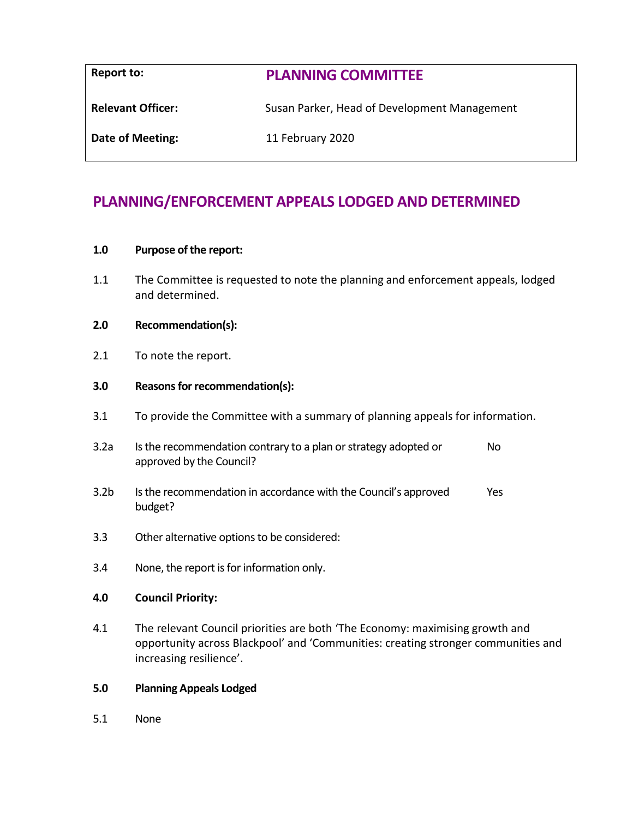| Report to:               | <b>PLANNING COMMITTEE</b>                    |
|--------------------------|----------------------------------------------|
| <b>Relevant Officer:</b> | Susan Parker, Head of Development Management |
| Date of Meeting:         | 11 February 2020                             |

# **PLANNING/ENFORCEMENT APPEALS LODGED AND DETERMINED**

## **1.0 Purpose of the report:**

1.1 The Committee is requested to note the planning and enforcement appeals, lodged and determined.

## **2.0 Recommendation(s):**

2.1 To note the report.

#### **3.0 Reasons for recommendation(s):**

- 3.1 To provide the Committee with a summary of planning appeals for information.
- 3.2a Is the recommendation contrary to a plan or strategy adopted or approved by the Council? No
- 3.2b Is the recommendation in accordance with the Council's approved budget? Yes
- 3.3 Other alternative options to be considered:
- 3.4 None, the report is for information only.

#### **4.0 Council Priority:**

4.1 The relevant Council priorities are both 'The Economy: maximising growth and opportunity across Blackpool' and 'Communities: creating stronger communities and increasing resilience'.

## **5.0 Planning Appeals Lodged**

5.1 None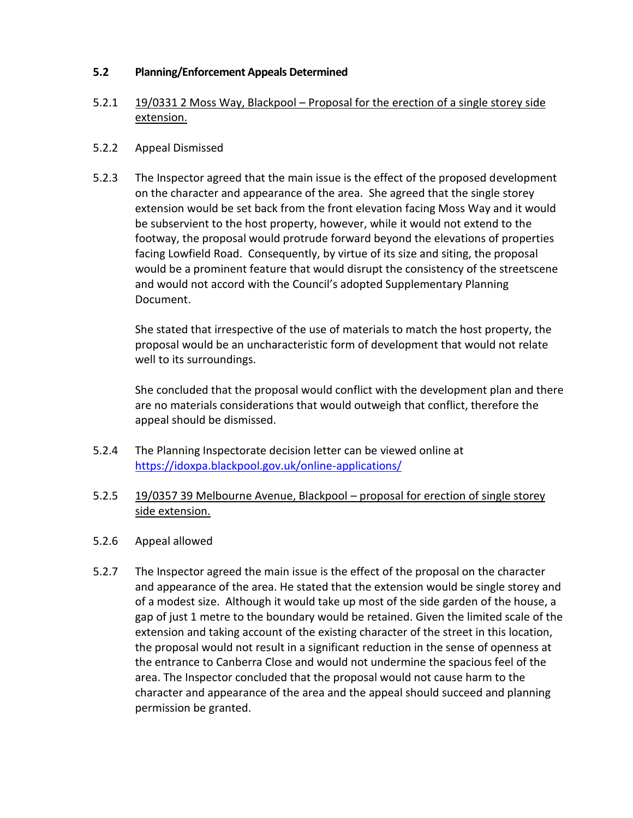# **5.2 Planning/Enforcement Appeals Determined**

# 5.2.1 19/0331 2 Moss Way, Blackpool – Proposal for the erection of a single storey side extension.

# 5.2.2 Appeal Dismissed

5.2.3 The Inspector agreed that the main issue is the effect of the proposed development on the character and appearance of the area. She agreed that the single storey extension would be set back from the front elevation facing Moss Way and it would be subservient to the host property, however, while it would not extend to the footway, the proposal would protrude forward beyond the elevations of properties facing Lowfield Road. Consequently, by virtue of its size and siting, the proposal would be a prominent feature that would disrupt the consistency of the streetscene and would not accord with the Council's adopted Supplementary Planning Document.

She stated that irrespective of the use of materials to match the host property, the proposal would be an uncharacteristic form of development that would not relate well to its surroundings.

She concluded that the proposal would conflict with the development plan and there are no materials considerations that would outweigh that conflict, therefore the appeal should be dismissed.

- 5.2.4 The Planning Inspectorate decision letter can be viewed online at <https://idoxpa.blackpool.gov.uk/online-applications/>
- 5.2.5 19/0357 39 Melbourne Avenue, Blackpool proposal for erection of single storey side extension.
- 5.2.6 Appeal allowed
- 5.2.7 The Inspector agreed the main issue is the effect of the proposal on the character and appearance of the area. He stated that the extension would be single storey and of a modest size. Although it would take up most of the side garden of the house, a gap of just 1 metre to the boundary would be retained. Given the limited scale of the extension and taking account of the existing character of the street in this location, the proposal would not result in a significant reduction in the sense of openness at the entrance to Canberra Close and would not undermine the spacious feel of the area. The Inspector concluded that the proposal would not cause harm to the character and appearance of the area and the appeal should succeed and planning permission be granted.